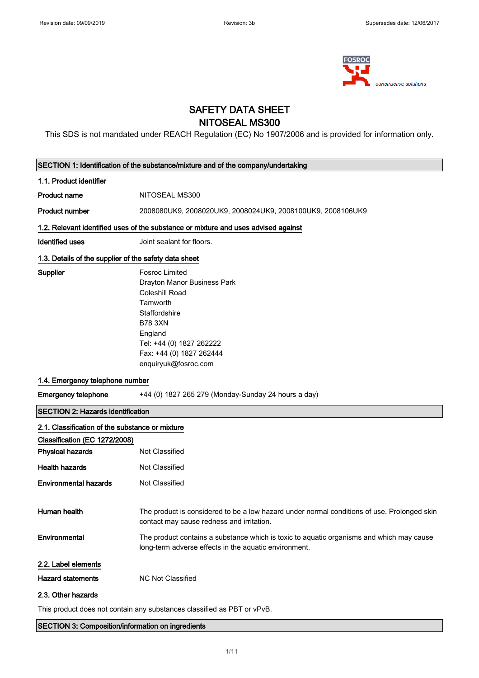

### SAFETY DATA SHEET NITOSEAL MS300

This SDS is not mandated under REACH Regulation (EC) No 1907/2006 and is provided for information only.

|                                                                                   | SECTION 1: Identification of the substance/mixture and of the company/undertaking                                                                                                                                |  |  |
|-----------------------------------------------------------------------------------|------------------------------------------------------------------------------------------------------------------------------------------------------------------------------------------------------------------|--|--|
| 1.1. Product identifier                                                           |                                                                                                                                                                                                                  |  |  |
| <b>Product name</b>                                                               | NITOSEAL MS300                                                                                                                                                                                                   |  |  |
| <b>Product number</b>                                                             | 2008080UK9, 2008020UK9, 2008024UK9, 2008100UK9, 2008106UK9                                                                                                                                                       |  |  |
|                                                                                   | 1.2. Relevant identified uses of the substance or mixture and uses advised against                                                                                                                               |  |  |
| <b>Identified uses</b>                                                            | Joint sealant for floors.                                                                                                                                                                                        |  |  |
| 1.3. Details of the supplier of the safety data sheet                             |                                                                                                                                                                                                                  |  |  |
| Supplier                                                                          | <b>Fosroc Limited</b><br>Drayton Manor Business Park<br>Coleshill Road<br>Tamworth<br>Staffordshire<br><b>B78 3XN</b><br>England<br>Tel: +44 (0) 1827 262222<br>Fax: +44 (0) 1827 262444<br>enquiryuk@fosroc.com |  |  |
| 1.4. Emergency telephone number                                                   |                                                                                                                                                                                                                  |  |  |
| <b>Emergency telephone</b><br>+44 (0) 1827 265 279 (Monday-Sunday 24 hours a day) |                                                                                                                                                                                                                  |  |  |
| <b>SECTION 2: Hazards identification</b>                                          |                                                                                                                                                                                                                  |  |  |
| 2.1. Classification of the substance or mixture                                   |                                                                                                                                                                                                                  |  |  |
| Classification (EC 1272/2008)                                                     |                                                                                                                                                                                                                  |  |  |
| <b>Physical hazards</b>                                                           | Not Classified                                                                                                                                                                                                   |  |  |
| <b>Health hazards</b>                                                             | Not Classified                                                                                                                                                                                                   |  |  |
| <b>Environmental hazards</b>                                                      | Not Classified                                                                                                                                                                                                   |  |  |
| Human health                                                                      | The product is considered to be a low hazard under normal conditions of use. Prolonged skin<br>contact may cause redness and irritation.                                                                         |  |  |
| Environmental                                                                     | The product contains a substance which is toxic to aquatic organisms and which may cause<br>long-term adverse effects in the aquatic environment.                                                                |  |  |
| 2.2. Label elements                                                               |                                                                                                                                                                                                                  |  |  |
| <b>Hazard statements</b>                                                          | <b>NC Not Classified</b>                                                                                                                                                                                         |  |  |
| 2.3. Other hazards                                                                |                                                                                                                                                                                                                  |  |  |
| This product does not contain any substances classified as PBT or vPvB.           |                                                                                                                                                                                                                  |  |  |

SECTION 3: Composition/information on ingredients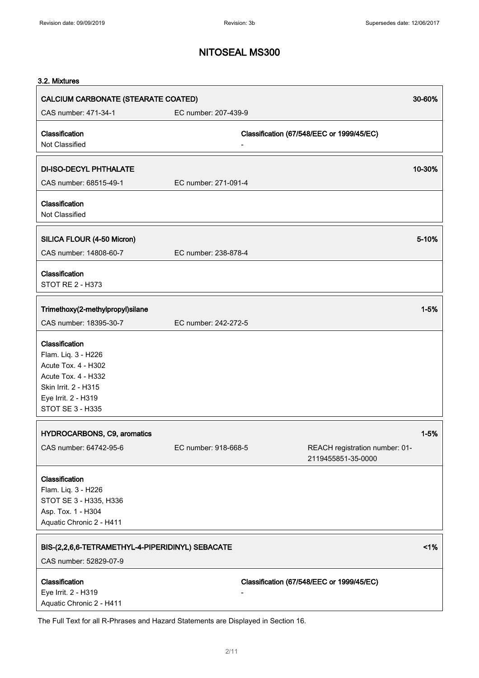#### 3.2. Mixtures

| CALCIUM CARBONATE (STEARATE COATED)<br>30-60%                                                                                                          |                      |                                                      |
|--------------------------------------------------------------------------------------------------------------------------------------------------------|----------------------|------------------------------------------------------|
| CAS number: 471-34-1                                                                                                                                   | EC number: 207-439-9 |                                                      |
| Classification<br>Not Classified                                                                                                                       |                      | Classification (67/548/EEC or 1999/45/EC)            |
| <b>DI-ISO-DECYL PHTHALATE</b>                                                                                                                          |                      | 10-30%                                               |
| CAS number: 68515-49-1                                                                                                                                 | EC number: 271-091-4 |                                                      |
| Classification<br>Not Classified                                                                                                                       |                      |                                                      |
| SILICA FLOUR (4-50 Micron)                                                                                                                             |                      | 5-10%                                                |
| CAS number: 14808-60-7                                                                                                                                 | EC number: 238-878-4 |                                                      |
| Classification<br><b>STOT RE 2 - H373</b>                                                                                                              |                      |                                                      |
| Trimethoxy(2-methylpropyl)silane                                                                                                                       |                      | $1 - 5%$                                             |
| CAS number: 18395-30-7                                                                                                                                 | EC number: 242-272-5 |                                                      |
| Classification<br>Flam. Liq. 3 - H226<br>Acute Tox. 4 - H302<br>Acute Tox. 4 - H332<br>Skin Irrit. 2 - H315<br>Eye Irrit. 2 - H319<br>STOT SE 3 - H335 |                      |                                                      |
| <b>HYDROCARBONS, C9, aromatics</b>                                                                                                                     |                      | $1 - 5%$                                             |
| CAS number: 64742-95-6                                                                                                                                 | EC number: 918-668-5 | REACH registration number: 01-<br>2119455851-35-0000 |
| Classification<br>Flam. Liq. 3 - H226<br>STOT SE 3 - H335, H336<br>Asp. Tox. 1 - H304<br>Aquatic Chronic 2 - H411                                      |                      |                                                      |
| BIS-(2,2,6,6-TETRAMETHYL-4-PIPERIDINYL) SEBACATE                                                                                                       |                      | 1%                                                   |
| CAS number: 52829-07-9                                                                                                                                 |                      |                                                      |
| Classification<br>Eye Irrit. 2 - H319<br>Aquatic Chronic 2 - H411                                                                                      |                      | Classification (67/548/EEC or 1999/45/EC)            |

The Full Text for all R-Phrases and Hazard Statements are Displayed in Section 16.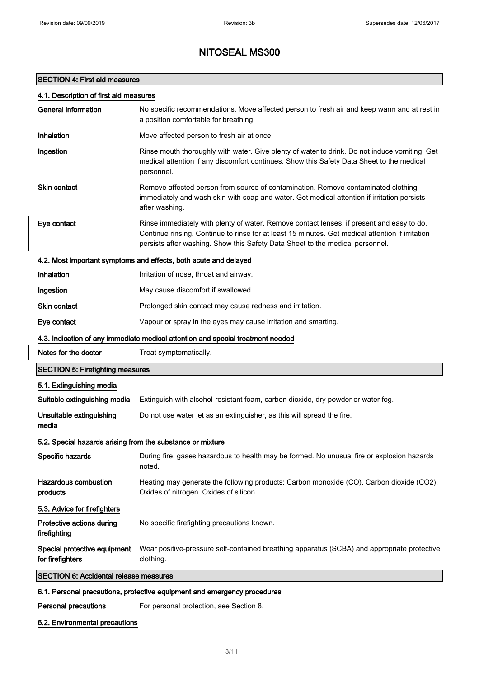### SECTION 4: First aid measures

|  |  |  |  |  |  |  | 4.1. Description of first aid measures |
|--|--|--|--|--|--|--|----------------------------------------|
|--|--|--|--|--|--|--|----------------------------------------|

| <b>General information</b>                                                      | No specific recommendations. Move affected person to fresh air and keep warm and at rest in<br>a position comfortable for breathing.                                                                                                                                           |  |
|---------------------------------------------------------------------------------|--------------------------------------------------------------------------------------------------------------------------------------------------------------------------------------------------------------------------------------------------------------------------------|--|
| <b>Inhalation</b>                                                               | Move affected person to fresh air at once.                                                                                                                                                                                                                                     |  |
| Ingestion                                                                       | Rinse mouth thoroughly with water. Give plenty of water to drink. Do not induce vomiting. Get<br>medical attention if any discomfort continues. Show this Safety Data Sheet to the medical<br>personnel.                                                                       |  |
| <b>Skin contact</b>                                                             | Remove affected person from source of contamination. Remove contaminated clothing<br>immediately and wash skin with soap and water. Get medical attention if irritation persists<br>after washing.                                                                             |  |
| Eye contact                                                                     | Rinse immediately with plenty of water. Remove contact lenses, if present and easy to do.<br>Continue rinsing. Continue to rinse for at least 15 minutes. Get medical attention if irritation<br>persists after washing. Show this Safety Data Sheet to the medical personnel. |  |
|                                                                                 | 4.2. Most important symptoms and effects, both acute and delayed                                                                                                                                                                                                               |  |
| Inhalation                                                                      | Irritation of nose, throat and airway.                                                                                                                                                                                                                                         |  |
| Ingestion                                                                       | May cause discomfort if swallowed.                                                                                                                                                                                                                                             |  |
| <b>Skin contact</b>                                                             | Prolonged skin contact may cause redness and irritation.                                                                                                                                                                                                                       |  |
| Eye contact                                                                     | Vapour or spray in the eyes may cause irritation and smarting.                                                                                                                                                                                                                 |  |
| 4.3. Indication of any immediate medical attention and special treatment needed |                                                                                                                                                                                                                                                                                |  |
| Notes for the doctor                                                            | Treat symptomatically.                                                                                                                                                                                                                                                         |  |
| <b>SECTION 5: Firefighting measures</b>                                         |                                                                                                                                                                                                                                                                                |  |
| 5.1. Extinguishing media                                                        |                                                                                                                                                                                                                                                                                |  |
| Suitable extinguishing media                                                    | Extinguish with alcohol-resistant foam, carbon dioxide, dry powder or water fog.                                                                                                                                                                                               |  |
| Unsuitable extinguishing<br>media                                               | Do not use water jet as an extinguisher, as this will spread the fire.                                                                                                                                                                                                         |  |
| 5.2. Special hazards arising from the substance or mixture                      |                                                                                                                                                                                                                                                                                |  |
| Specific hazards                                                                | During fire, gases hazardous to health may be formed. No unusual fire or explosion hazards<br>noted.                                                                                                                                                                           |  |
| <b>Hazardous combustion</b><br>products                                         | Heating may generate the following products: Carbon monoxide (CO). Carbon dioxide (CO2).<br>Oxides of nitrogen. Oxides of silicon                                                                                                                                              |  |
| 5.3. Advice for firefighters                                                    |                                                                                                                                                                                                                                                                                |  |
| Protective actions during<br>firefighting                                       | No specific firefighting precautions known.                                                                                                                                                                                                                                    |  |
| Special protective equipment<br>for firefighters                                | Wear positive-pressure self-contained breathing apparatus (SCBA) and appropriate protective<br>clothing.                                                                                                                                                                       |  |
| <b>SECTION 6: Accidental release measures</b>                                   |                                                                                                                                                                                                                                                                                |  |
|                                                                                 |                                                                                                                                                                                                                                                                                |  |

### 6.1. Personal precautions, protective equipment and emergency procedures

Personal precautions For personal protection, see Section 8.

6.2. Environmental precautions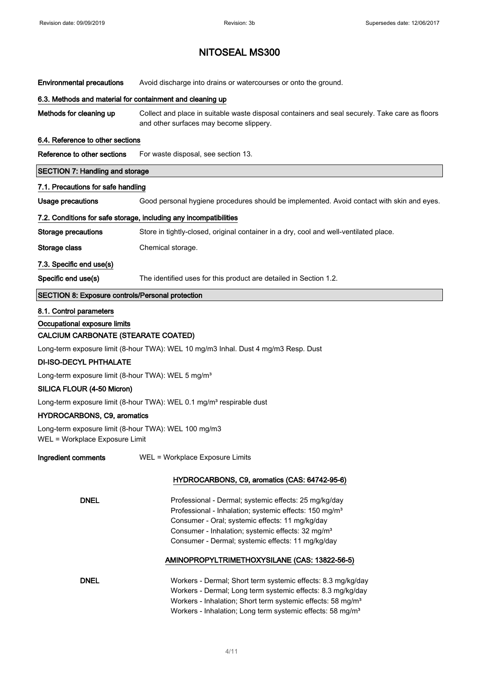| <b>Environmental precautions</b>                                                                | Avoid discharge into drains or watercourses or onto the ground.                                                                                                                                                                                                                                      |  |  |  |
|-------------------------------------------------------------------------------------------------|------------------------------------------------------------------------------------------------------------------------------------------------------------------------------------------------------------------------------------------------------------------------------------------------------|--|--|--|
| 6.3. Methods and material for containment and cleaning up                                       |                                                                                                                                                                                                                                                                                                      |  |  |  |
| Methods for cleaning up                                                                         | Collect and place in suitable waste disposal containers and seal securely. Take care as floors<br>and other surfaces may become slippery.                                                                                                                                                            |  |  |  |
| 6.4. Reference to other sections                                                                |                                                                                                                                                                                                                                                                                                      |  |  |  |
| Reference to other sections                                                                     | For waste disposal, see section 13.                                                                                                                                                                                                                                                                  |  |  |  |
| <b>SECTION 7: Handling and storage</b>                                                          |                                                                                                                                                                                                                                                                                                      |  |  |  |
| 7.1. Precautions for safe handling                                                              |                                                                                                                                                                                                                                                                                                      |  |  |  |
| <b>Usage precautions</b>                                                                        | Good personal hygiene procedures should be implemented. Avoid contact with skin and eyes.                                                                                                                                                                                                            |  |  |  |
|                                                                                                 | 7.2. Conditions for safe storage, including any incompatibilities                                                                                                                                                                                                                                    |  |  |  |
| <b>Storage precautions</b>                                                                      | Store in tightly-closed, original container in a dry, cool and well-ventilated place.                                                                                                                                                                                                                |  |  |  |
| Storage class                                                                                   | Chemical storage.                                                                                                                                                                                                                                                                                    |  |  |  |
| 7.3. Specific end use(s)                                                                        |                                                                                                                                                                                                                                                                                                      |  |  |  |
| Specific end use(s)                                                                             | The identified uses for this product are detailed in Section 1.2.                                                                                                                                                                                                                                    |  |  |  |
| <b>SECTION 8: Exposure controls/Personal protection</b>                                         |                                                                                                                                                                                                                                                                                                      |  |  |  |
| 8.1. Control parameters<br>Occupational exposure limits<br>CALCIUM CARBONATE (STEARATE COATED)  |                                                                                                                                                                                                                                                                                                      |  |  |  |
| Long-term exposure limit (8-hour TWA): WEL 10 mg/m3 Inhal. Dust 4 mg/m3 Resp. Dust              |                                                                                                                                                                                                                                                                                                      |  |  |  |
| <b>DI-ISO-DECYL PHTHALATE</b><br>Long-term exposure limit (8-hour TWA): WEL 5 mg/m <sup>3</sup> |                                                                                                                                                                                                                                                                                                      |  |  |  |
| SILICA FLOUR (4-50 Micron)                                                                      |                                                                                                                                                                                                                                                                                                      |  |  |  |
|                                                                                                 | Long-term exposure limit (8-hour TWA): WEL 0.1 mg/m <sup>3</sup> respirable dust                                                                                                                                                                                                                     |  |  |  |
| <b>HYDROCARBONS, C9, aromatics</b>                                                              |                                                                                                                                                                                                                                                                                                      |  |  |  |
| Long-term exposure limit (8-hour TWA): WEL 100 mg/m3<br>WEL = Workplace Exposure Limit          |                                                                                                                                                                                                                                                                                                      |  |  |  |
| Ingredient comments<br>WEL = Workplace Exposure Limits                                          |                                                                                                                                                                                                                                                                                                      |  |  |  |
|                                                                                                 | HYDROCARBONS, C9, aromatics (CAS: 64742-95-6)                                                                                                                                                                                                                                                        |  |  |  |
| <b>DNEL</b>                                                                                     | Professional - Dermal; systemic effects: 25 mg/kg/day<br>Professional - Inhalation; systemic effects: 150 mg/m <sup>3</sup><br>Consumer - Oral; systemic effects: 11 mg/kg/day<br>Consumer - Inhalation; systemic effects: 32 mg/m <sup>3</sup><br>Consumer - Dermal; systemic effects: 11 mg/kg/day |  |  |  |
|                                                                                                 | AMINOPROPYLTRIMETHOXYSILANE (CAS: 13822-56-5)                                                                                                                                                                                                                                                        |  |  |  |
| <b>DNEL</b>                                                                                     | Workers - Dermal; Short term systemic effects: 8.3 mg/kg/day<br>Workers - Dermal; Long term systemic effects: 8.3 mg/kg/day<br>Workers - Inhalation; Short term systemic effects: 58 mg/m <sup>3</sup><br>Workers - Inhalation; Long term systemic effects: 58 mg/m <sup>3</sup>                     |  |  |  |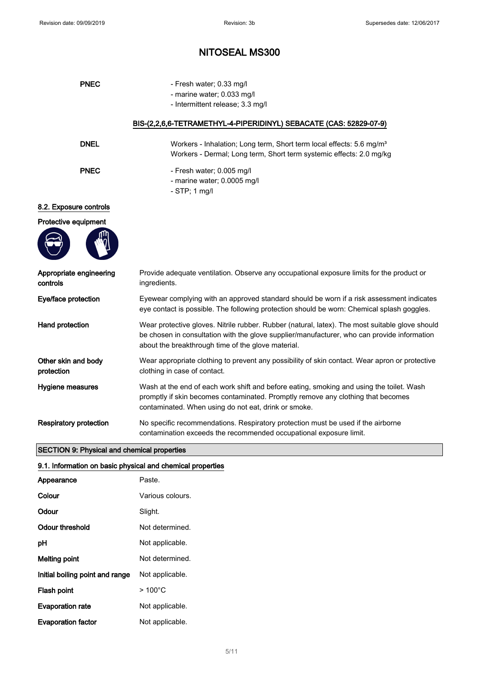| <b>PNEC</b>                         | - Fresh water; 0.33 mg/l                                                                                                                                                                                                                             |  |
|-------------------------------------|------------------------------------------------------------------------------------------------------------------------------------------------------------------------------------------------------------------------------------------------------|--|
|                                     | - marine water; 0.033 mg/l                                                                                                                                                                                                                           |  |
|                                     | - Intermittent release; 3.3 mg/l                                                                                                                                                                                                                     |  |
|                                     | BIS-(2,2,6,6-TETRAMETHYL-4-PIPERIDINYL) SEBACATE (CAS: 52829-07-9)                                                                                                                                                                                   |  |
| <b>DNEL</b>                         | Workers - Inhalation; Long term, Short term local effects: 5.6 mg/m <sup>3</sup><br>Workers - Dermal; Long term, Short term systemic effects: 2.0 mg/kg                                                                                              |  |
| <b>PNEC</b>                         | - Fresh water; 0.005 mg/l<br>- marine water; 0.0005 mg/l<br>$-$ STP; 1 mg/l                                                                                                                                                                          |  |
| 8.2. Exposure controls              |                                                                                                                                                                                                                                                      |  |
| Protective equipment                |                                                                                                                                                                                                                                                      |  |
|                                     |                                                                                                                                                                                                                                                      |  |
| Appropriate engineering<br>controls | Provide adequate ventilation. Observe any occupational exposure limits for the product or<br>ingredients.                                                                                                                                            |  |
| Eye/face protection                 | Eyewear complying with an approved standard should be worn if a risk assessment indicates<br>eye contact is possible. The following protection should be worn: Chemical splash goggles.                                                              |  |
| Hand protection                     | Wear protective gloves. Nitrile rubber. Rubber (natural, latex). The most suitable glove should<br>be chosen in consultation with the glove supplier/manufacturer, who can provide information<br>about the breakthrough time of the glove material. |  |
| Other skin and body<br>protection   | Wear appropriate clothing to prevent any possibility of skin contact. Wear apron or protective<br>clothing in case of contact.                                                                                                                       |  |
| <b>Hygiene measures</b>             | Wash at the end of each work shift and before eating, smoking and using the toilet. Wash<br>promptly if skin becomes contaminated. Promptly remove any clothing that becomes<br>contaminated. When using do not eat, drink or smoke.                 |  |
| <b>Respiratory protection</b>       | No specific recommendations. Respiratory protection must be used if the airborne<br>contamination exceeds the recommended occupational exposure limit.                                                                                               |  |

### SECTION 9: Physical and chemical properties

|  | 9.1. Information on basic physical and chemical properties |  |
|--|------------------------------------------------------------|--|
|  |                                                            |  |

| Appearance                      | Paste.           |
|---------------------------------|------------------|
| Colour                          | Various colours. |
| Odour                           | Slight.          |
| Odour threshold                 | Not determined.  |
| рH                              | Not applicable.  |
| <b>Melting point</b>            | Not determined.  |
| Initial boiling point and range | Not applicable.  |
| Flash point                     | $>100^{\circ}$ C |
| <b>Evaporation rate</b>         | Not applicable.  |
| <b>Evaporation factor</b>       | Not applicable.  |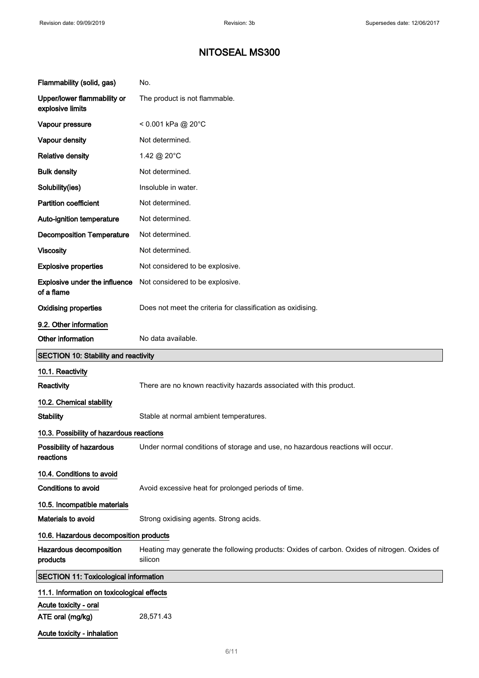| Flammability (solid, gas)                       | No.                                                                                                     |  |
|-------------------------------------------------|---------------------------------------------------------------------------------------------------------|--|
| Upper/lower flammability or<br>explosive limits | The product is not flammable.                                                                           |  |
| Vapour pressure                                 | $< 0.001$ kPa @ 20°C                                                                                    |  |
| Vapour density                                  | Not determined.                                                                                         |  |
| <b>Relative density</b>                         | 1.42 @ 20°C                                                                                             |  |
| <b>Bulk density</b>                             | Not determined.                                                                                         |  |
| Solubility(ies)                                 | Insoluble in water.                                                                                     |  |
| <b>Partition coefficient</b>                    | Not determined.                                                                                         |  |
| Auto-ignition temperature                       | Not determined.                                                                                         |  |
| <b>Decomposition Temperature</b>                | Not determined.                                                                                         |  |
| <b>Viscosity</b>                                | Not determined.                                                                                         |  |
| <b>Explosive properties</b>                     | Not considered to be explosive.                                                                         |  |
| Explosive under the influence<br>of a flame     | Not considered to be explosive.                                                                         |  |
| <b>Oxidising properties</b>                     | Does not meet the criteria for classification as oxidising.                                             |  |
| 9.2. Other information                          |                                                                                                         |  |
| Other information                               | No data available.                                                                                      |  |
| SECTION 10: Stability and reactivity            |                                                                                                         |  |
| 10.1. Reactivity                                |                                                                                                         |  |
| Reactivity                                      | There are no known reactivity hazards associated with this product.                                     |  |
| 10.2. Chemical stability                        |                                                                                                         |  |
| <b>Stability</b>                                | Stable at normal ambient temperatures.                                                                  |  |
| 10.3. Possibility of hazardous reactions        |                                                                                                         |  |
| Possibility of hazardous<br>reactions           | Under normal conditions of storage and use, no hazardous reactions will occur.                          |  |
| 10.4. Conditions to avoid                       |                                                                                                         |  |
| Conditions to avoid                             | Avoid excessive heat for prolonged periods of time.                                                     |  |
| 10.5. Incompatible materials                    |                                                                                                         |  |
| Materials to avoid                              | Strong oxidising agents. Strong acids.                                                                  |  |
| 10.6. Hazardous decomposition products          |                                                                                                         |  |
| Hazardous decomposition<br>products             | Heating may generate the following products: Oxides of carbon. Oxides of nitrogen. Oxides of<br>silicon |  |
| <b>SECTION 11: Toxicological information</b>    |                                                                                                         |  |
| 11.1. Information on toxicological effects      |                                                                                                         |  |
| Acute toxicity - oral<br>ATE oral (mg/kg)       | 28,571.43                                                                                               |  |
| Acute toxicity - inhalation                     |                                                                                                         |  |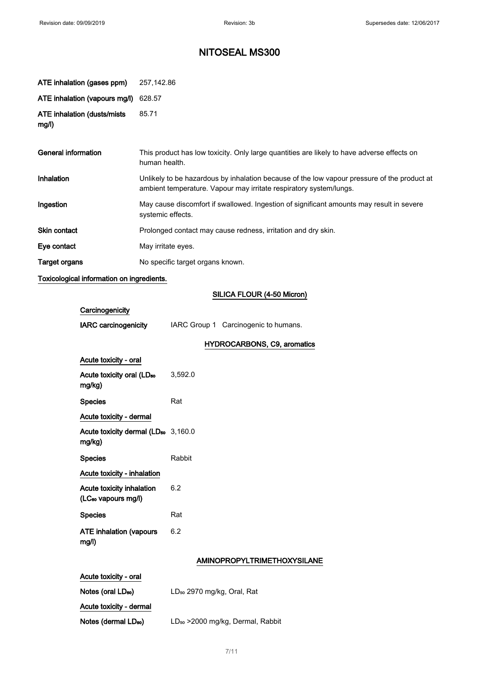| ATE inhalation (gases ppm)           | 257,142.86                                                                                                                                                        |
|--------------------------------------|-------------------------------------------------------------------------------------------------------------------------------------------------------------------|
| ATE inhalation (vapours mg/l)        | 628.57                                                                                                                                                            |
| ATE inhalation (dusts/mists<br>mg/l) | 85.71                                                                                                                                                             |
| General information                  | This product has low toxicity. Only large quantities are likely to have adverse effects on<br>human health.                                                       |
| Inhalation                           | Unlikely to be hazardous by inhalation because of the low vapour pressure of the product at<br>ambient temperature. Vapour may irritate respiratory system/lungs. |
| Ingestion                            | May cause discomfort if swallowed. Ingestion of significant amounts may result in severe<br>systemic effects.                                                     |
| <b>Skin contact</b>                  | Prolonged contact may cause redness, irritation and dry skin.                                                                                                     |
| Eye contact                          | May irritate eyes.                                                                                                                                                |
| Target organs                        | No specific target organs known.                                                                                                                                  |

Toxicological information on ingredients.

#### SILICA FLOUR (4-50 Micron)

| Carcinogenicity                                              |         |                                      |
|--------------------------------------------------------------|---------|--------------------------------------|
| <b>IARC carcinogenicity</b>                                  |         | IARC Group 1 Carcinogenic to humans. |
|                                                              |         | HYDROCARBONS, C9, aromatics          |
| Acute toxicity - oral                                        |         |                                      |
| Acute toxicity oral (LD <sub>50</sub><br>mg/kg)              | 3,592.0 |                                      |
| <b>Species</b>                                               | Rat     |                                      |
| Acute toxicity - dermal                                      |         |                                      |
| Acute toxicity dermal (LD <sub>50</sub> 3,160.0<br>mg/kg)    |         |                                      |
| <b>Species</b>                                               | Rabbit  |                                      |
| Acute toxicity - inhalation                                  |         |                                      |
| Acute toxicity inhalation<br>(LC <sub>50</sub> vapours mg/l) | 6.2     |                                      |
| <b>Species</b>                                               | Rat     |                                      |
| <b>ATE inhalation (vapours</b><br>mg/l)                      | 6.2     |                                      |
|                                                              |         | AMINOPROPYLTRIMETHOXYSILANE          |
| Acute toxicity - oral                                        |         |                                      |

| Notes (oral LD <sub>50</sub> )   | LD <sub>50</sub> 2970 mg/kg, Oral, Rat        |
|----------------------------------|-----------------------------------------------|
| Acute toxicity - dermal          |                                               |
| Notes (dermal LD <sub>50</sub> ) | LD <sub>50</sub> > 2000 mg/kg, Dermal, Rabbit |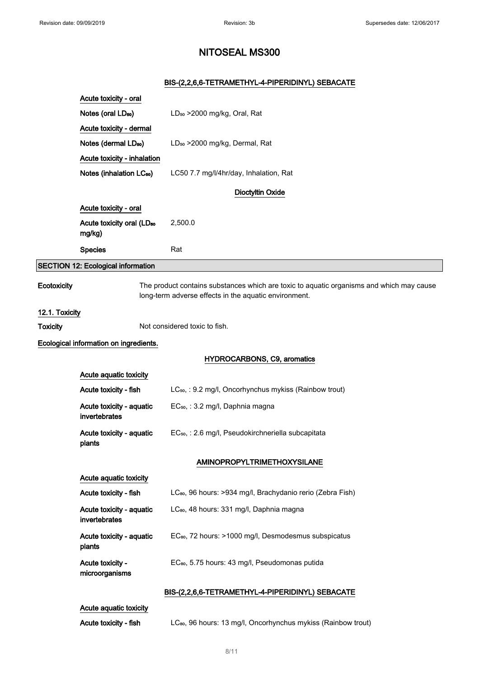### BIS-(2,2,6,6-TETRAMETHYL-4-PIPERIDINYL) SEBACATE

|                 | Acute toxicity - oral                           |                                                                                                                                                   |
|-----------------|-------------------------------------------------|---------------------------------------------------------------------------------------------------------------------------------------------------|
|                 | Notes (oral LD <sub>50</sub> )                  | LD <sub>50</sub> > 2000 mg/kg, Oral, Rat                                                                                                          |
|                 | Acute toxicity - dermal                         |                                                                                                                                                   |
|                 | Notes (dermal LD <sub>50</sub> )                | LD <sub>50</sub> > 2000 mg/kg, Dermal, Rat                                                                                                        |
|                 | Acute toxicity - inhalation                     |                                                                                                                                                   |
|                 | Notes (inhalation LC <sub>50</sub> )            | LC50 7.7 mg/l/4hr/day, Inhalation, Rat                                                                                                            |
|                 |                                                 | <b>Dioctyltin Oxide</b>                                                                                                                           |
|                 | Acute toxicity - oral                           |                                                                                                                                                   |
|                 | Acute toxicity oral (LD <sub>50</sub><br>mg/kg) | 2,500.0                                                                                                                                           |
|                 | <b>Species</b>                                  | Rat                                                                                                                                               |
|                 | <b>SECTION 12: Ecological information</b>       |                                                                                                                                                   |
| Ecotoxicity     |                                                 | The product contains substances which are toxic to aquatic organisms and which may cause<br>long-term adverse effects in the aquatic environment. |
| 12.1. Toxicity  |                                                 |                                                                                                                                                   |
| <b>Toxicity</b> |                                                 | Not considered toxic to fish.                                                                                                                     |
|                 | Ecological information on ingredients.          |                                                                                                                                                   |
|                 |                                                 | <b>HYDROCARBONS, C9, aromatics</b>                                                                                                                |
|                 | Acute aquatic toxicity                          |                                                                                                                                                   |
|                 | Acute toxicity - fish                           | LC <sub>50</sub> , : 9.2 mg/l, Oncorhynchus mykiss (Rainbow trout)                                                                                |
|                 | Acute toxicity - aquatic<br>invertebrates       | EC <sub>50</sub> , : 3.2 mg/l, Daphnia magna                                                                                                      |
| plants          | Acute toxicity - aquatic                        | EC <sub>50</sub> , : 2.6 mg/l, Pseudokirchneriella subcapitata                                                                                    |
|                 |                                                 | <b>AMINOPROPYLTRIMETHOXYSILANE</b>                                                                                                                |
|                 | Acute aquatic toxicity                          |                                                                                                                                                   |
|                 | Acute toxicity - fish                           | LC <sub>80</sub> , 96 hours: >934 mg/l, Brachydanio rerio (Zebra Fish)                                                                            |
|                 | Acute toxicity - aquatic<br>invertebrates       | LC <sub>80</sub> , 48 hours: 331 mg/l, Daphnia magna                                                                                              |
| plants          | Acute toxicity - aquatic                        | EC <sub>80</sub> , 72 hours: >1000 mg/l, Desmodesmus subspicatus                                                                                  |
|                 | Acute toxicity -<br>microorganisms              | EC <sub>80</sub> , 5.75 hours: 43 mg/l, Pseudomonas putida                                                                                        |
|                 |                                                 | BIS-(2,2,6,6-TETRAMETHYL-4-PIPERIDINYL) SEBACATE                                                                                                  |
|                 | Acute aquatic toxicity<br>Acute toxicity - fish | LC <sub>80</sub> , 96 hours: 13 mg/l, Oncorhynchus mykiss (Rainbow trout)                                                                         |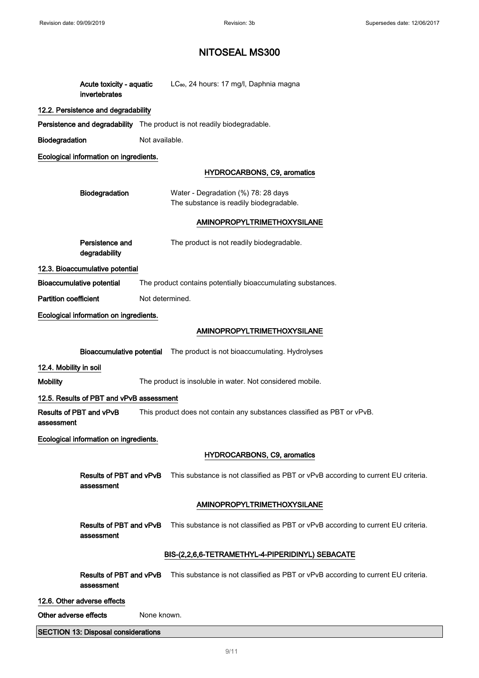| Acute toxicity - aquatic<br>invertebrates  | LC <sub>80</sub> , 24 hours: 17 mg/l, Daphnia magna                                                       |  |  |  |
|--------------------------------------------|-----------------------------------------------------------------------------------------------------------|--|--|--|
| 12.2. Persistence and degradability        |                                                                                                           |  |  |  |
|                                            | <b>Persistence and degradability</b> The product is not readily biodegradable.                            |  |  |  |
| Biodegradation                             | Not available.                                                                                            |  |  |  |
| Ecological information on ingredients.     |                                                                                                           |  |  |  |
|                                            | <b>HYDROCARBONS, C9, aromatics</b>                                                                        |  |  |  |
| Biodegradation                             | Water - Degradation (%) 78: 28 days                                                                       |  |  |  |
|                                            | The substance is readily biodegradable.                                                                   |  |  |  |
|                                            | <b>AMINOPROPYLTRIMETHOXYSILANE</b>                                                                        |  |  |  |
| Persistence and<br>degradability           | The product is not readily biodegradable.                                                                 |  |  |  |
| 12.3. Bioaccumulative potential            |                                                                                                           |  |  |  |
| <b>Bioaccumulative potential</b>           | The product contains potentially bioaccumulating substances.                                              |  |  |  |
| <b>Partition coefficient</b>               | Not determined.                                                                                           |  |  |  |
| Ecological information on ingredients.     |                                                                                                           |  |  |  |
|                                            | <b>AMINOPROPYLTRIMETHOXYSILANE</b>                                                                        |  |  |  |
| <b>Bioaccumulative potential</b>           | The product is not bioaccumulating. Hydrolyses                                                            |  |  |  |
| 12.4. Mobility in soil                     |                                                                                                           |  |  |  |
| <b>Mobility</b>                            | The product is insoluble in water. Not considered mobile.                                                 |  |  |  |
| 12.5. Results of PBT and vPvB assessment   |                                                                                                           |  |  |  |
| Results of PBT and vPvB<br>assessment      | This product does not contain any substances classified as PBT or vPvB.                                   |  |  |  |
| Ecological information on ingredients.     |                                                                                                           |  |  |  |
|                                            | <b>HYDROCARBONS, C9, aromatics</b>                                                                        |  |  |  |
| Results of PBT and vPvB<br>assessment      | This substance is not classified as PBT or vPvB according to current EU criteria.                         |  |  |  |
|                                            | <b>AMINOPROPYLTRIMETHOXYSILANE</b>                                                                        |  |  |  |
| Results of PBT and vPvB<br>assessment      | This substance is not classified as PBT or vPvB according to current EU criteria.                         |  |  |  |
|                                            | BIS-(2,2,6,6-TETRAMETHYL-4-PIPERIDINYL) SEBACATE                                                          |  |  |  |
| assessment                                 | Results of PBT and vPvB This substance is not classified as PBT or vPvB according to current EU criteria. |  |  |  |
| 12.6. Other adverse effects                |                                                                                                           |  |  |  |
| Other adverse effects<br>None known.       |                                                                                                           |  |  |  |
| <b>SECTION 13: Disposal considerations</b> |                                                                                                           |  |  |  |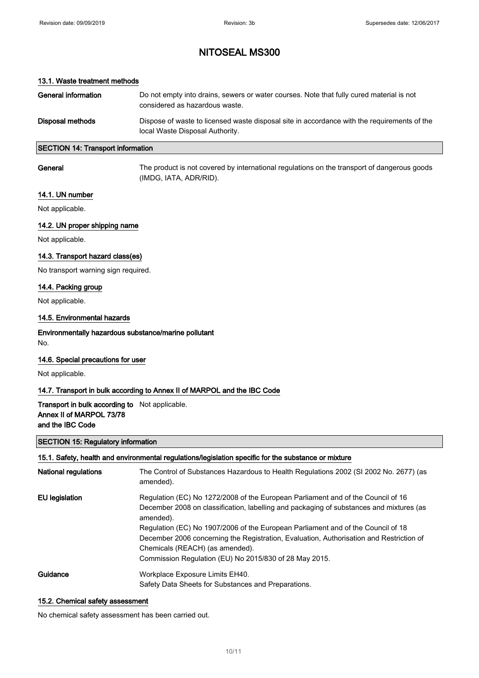#### 13.1. Waste treatment methods

| General information | Do not empty into drains, sewers or water courses. Note that fully cured material is not<br>considered as hazardous waste.     |
|---------------------|--------------------------------------------------------------------------------------------------------------------------------|
| Disposal methods    | Dispose of waste to licensed waste disposal site in accordance with the requirements of the<br>local Waste Disposal Authority. |

#### SECTION 14: Transport information

General The product is not covered by international regulations on the transport of dangerous goods (IMDG, IATA, ADR/RID).

#### 14.1. UN number

Not applicable.

#### 14.2. UN proper shipping name

Not applicable.

#### 14.3. Transport hazard class(es)

No transport warning sign required.

#### 14.4. Packing group

Not applicable.

#### 14.5. Environmental hazards

Environmentally hazardous substance/marine pollutant No.

#### 14.6. Special precautions for user

Not applicable.

#### 14.7. Transport in bulk according to Annex II of MARPOL and the IBC Code

Transport in bulk according to Not applicable. Annex II of MARPOL 73/78 and the IBC Code

#### SECTION 15: Regulatory information

#### 15.1. Safety, health and environmental regulations/legislation specific for the substance or mixture

| <b>National regulations</b> | The Control of Substances Hazardous to Health Regulations 2002 (SI 2002 No. 2677) (as<br>amended).                                                                                       |
|-----------------------------|------------------------------------------------------------------------------------------------------------------------------------------------------------------------------------------|
| EU legislation              | Regulation (EC) No 1272/2008 of the European Parliament and of the Council of 16<br>December 2008 on classification, labelling and packaging of substances and mixtures (as<br>amended). |
|                             | Regulation (EC) No 1907/2006 of the European Parliament and of the Council of 18                                                                                                         |
|                             | December 2006 concerning the Registration, Evaluation, Authorisation and Restriction of                                                                                                  |
|                             | Chemicals (REACH) (as amended).                                                                                                                                                          |
|                             | Commission Regulation (EU) No 2015/830 of 28 May 2015.                                                                                                                                   |
| Guidance                    | Workplace Exposure Limits EH40.                                                                                                                                                          |
|                             | Safety Data Sheets for Substances and Preparations.                                                                                                                                      |

#### 15.2. Chemical safety assessment

No chemical safety assessment has been carried out.